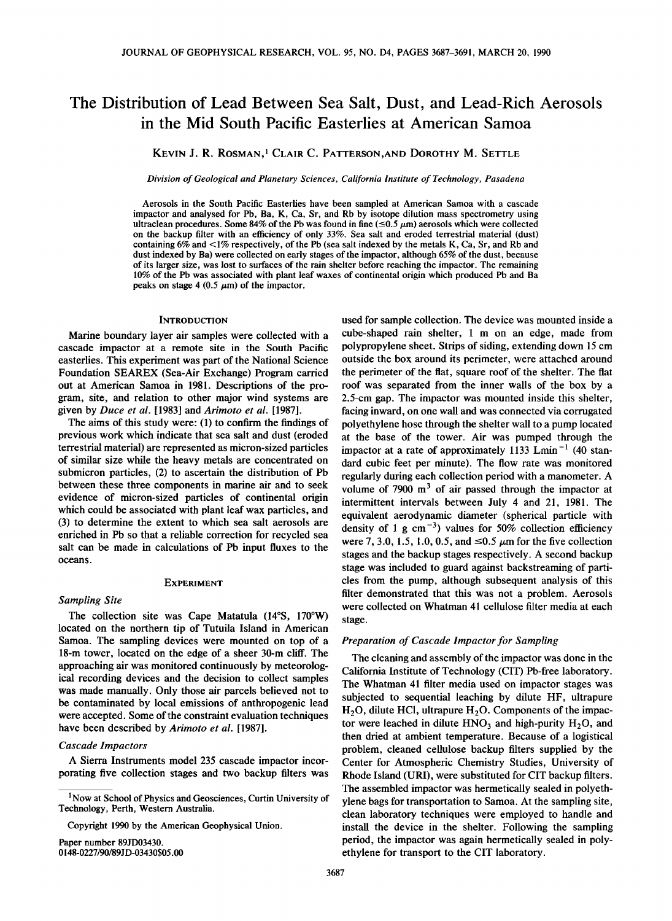# **The Distribution of Lead Between Sea Salt, Dust, and Lead-Rich Aerosols in the Mid South Pacific Easterlies at American Samoa**

**KEVIN J. R. ROSMAN, 1 CLAIR C. PATTERSON,AND DOROTHY M. SETTLE** 

**Division of Geological and Planetary Sciences, California Institute of Technology, Pasadena** 

**Aerosols in the South Pacific Easterlies have been sampled at American Samoa with a cascade impactor and analysed for Pb, Ba, K, Ca, Sr, and Rb by isotope dilution mass spectrometry using**  ultraclean procedures. Some 84% of the Pb was found in fine  $(\leq 0.5 \mu m)$  aerosols which were collected **on the backup filter with an efficiency of only 33%. Sea salt and eroded terrestrial material (dust) containing 6% and < 1% respectively, of the Pb (sea salt indexed by the metals K, Ca, Sr, and Rb and dust indexed by Ba) were collected on early stages of the impactor, although 65% of the dust, because of its larger size, was lost to surfaces of the rain shelter before reaching the impactor. The remaining 10% of the Pb was associated with plant leaf waxes of continental origin which produced Pb and Ba**  peaks on stage  $4(0.5 \mu m)$  of the impactor.

#### **INTRODUCTION**

**Marine boundary layer air samples were collected with a cascade impactor at a remote site in the South Pacific easterlies. This experiment was part of the National Science Foundation SEAREX (Sea-Air Exchange) Program carried out at American Samoa in 1981. Descriptions of the program, site, and relation to other major wind systems are given by Duce et al. [1983] and Arimoto et al. [1987].** 

**The aims of this study were: (1) to confirm the findings of previous work which indicate that sea salt and dust (eroded terrestrial material) are represented as micron-sized particles of similar size while the heavy metals are concentrated on submicron particles, (2) to ascertain the distribution of Pb between these three components in marine air and to seek evidence of micron-sized particles of continental origin which could be associated with plant leaf wax particles, and (3) to determine the extent to which sea salt aerosols are enriched in Pb so that a reliable correction for recycled sea salt can be made in calculations of Pb input fluxes to the oceans.** 

#### **EXPERIMENT**

#### **Sampling Site**

**The collection site was Cape Matatula (14øS, 170øW) located on the northern tip of Tutuila Island in American Samoa. The sampling devices were mounted on top of a 18-m tower, located on the edge of a sheer 30-m cliff. The approaching air was monitored continuously by meteorological recording devices and the decision to collect samples was made manually. Only those air parcels believed not to be contaminated by local emissions of anthropogenic lead were accepted. Some of the constraint evaluation techniques have been described by Arimoto et al. [1987].** 

## **Cascade Impactors**

**A Sierra Instruments model 235 cascade impactor incorporating five collection stages and two backup filters was** 

**Copyright 1990 by the American Geophysical Union.** 

**Paper number 89JD03430. 0148-0227/90/89JD-03430505.00** 

**used for sample collection. The device was mounted inside a cube-shaped rain shelter, 1 m on an edge, made from polypropylene sheet. Strips of siding, extending down 15 cm outside the box around its perimeter, were attached around the perimeter of the flat, square roof of the shelter. The flat roof was separated from the inner walls of the box by a 2.5-cm gap. The impactor was mounted inside this shelter, facing inward, on one wall and was connected via corrugated polyethylene hose through the shelter wall to a pump located at the base of the tower. Air was pumped through the**  impactor at a rate of approximately 1133 Lmin<sup>-1</sup> (40 stan**dard cubic feet per minute). The flow rate was monitored regularly during each collection period with a manometer. A**  volume of 7900  $m<sup>3</sup>$  of air passed through the impactor at **intermittent intervals between July 4 and 21, 1981. The equivalent aerodynamic diameter (spherical particle with**  density of 1 g cm<sup> $-3$ </sup>) values for 50% collection efficiency were 7, 3.0, 1.5, 1.0, 0.5, and  $\leq 0.5 \mu m$  for the five collection **stages and the backup stages respectively. A second backup stage was included to guard against backstreaming of particles from the pump, although subsequent analysis of this filter demonstrated that this was not a problem. Aerosols were collected on Whatman 41 cellulose filter media at each stage.** 

## **Preparation of Cascade Impactor for Sampling**

**The cleaning and assembly of the impactor was done in the California Institute of Technology (CIT) Pb-free laboratory. The Whatman 41 filter media used on impactor stages was subjected to sequential leaching by dilute HF, ultrapure**  H<sub>2</sub>O, dilute HCl, ultrapure H<sub>2</sub>O. Components of the impactor were leached in dilute  $HNO<sub>3</sub>$  and high-purity  $H<sub>2</sub>O$ , and **then dried at ambient temperature. Because of a logistical problem, cleaned cellulose backup filters supplied by the Center for Atmospheric Chemistry Studies, University of Rhode Island (URI), were substituted for CIT backup filters. The assembled impactor was hermetically sealed in polyethylene bags for transportation to Samoa. At the sampling site, clean laboratory techniques were employed to handle and install the device in the shelter. Following the sampling period, the impactor was again hermetically sealed in polyethylene for transport to the CIT laboratory.** 

**<sup>1</sup>Now at School of Physics and Geosciences, Curtin University of Technology, Perth, Western Australia.**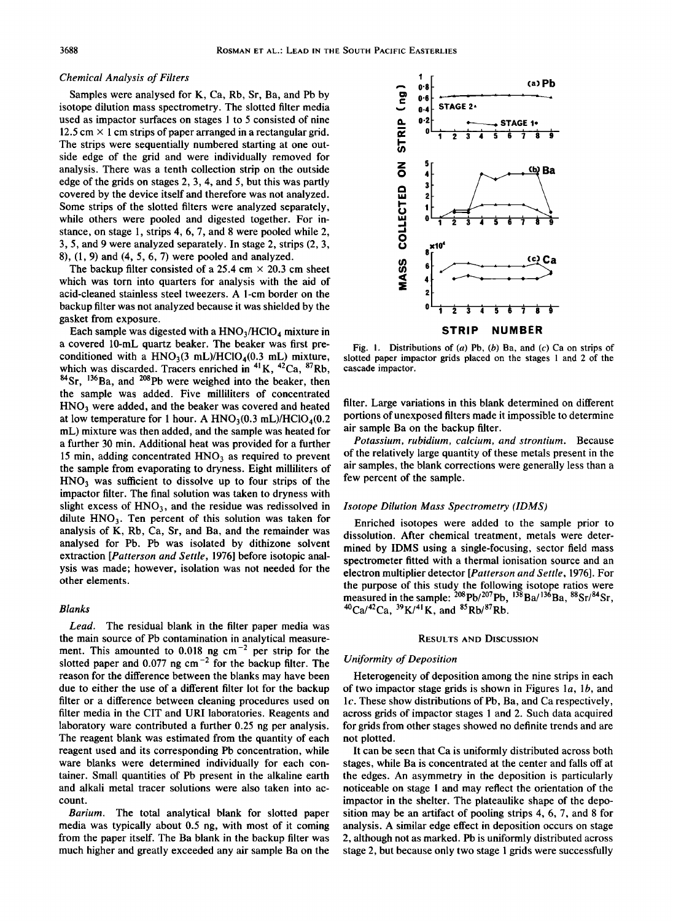#### **Chemical Analysis of Filters**

**Samples were analysed for K, Ca, Rb, Sr, Ba, and Pb by isotope dilution mass spectrometry. The slotted filter media used as impactor surfaces on stages 1 to 5 consisted of nine 12.5 cm x 1 cm strips of paper arranged in a rectangular grid. The strips were sequentially numbered starting at one outside edge of the grid and were individually removed for analysis. There was a tenth collection strip on the outside edge of the grids on stages 2, 3, 4, and 5, but this was partly covered by the device itself and therefore was not analyzed. Some strips of the slotted filters were analyzed separately, while others were pooled and digested together. For instance, on stage 1, strips 4, 6, 7, and 8 were pooled while 2, 3, 5, and 9 were analyzed separately. In stage 2, strips (2, 3, 8), (1, 9) and (4, 5, 6, 7) were pooled and analyzed.** 

The backup filter consisted of a  $25.4 \text{ cm} \times 20.3 \text{ cm}$  sheet **which was torn into quarters for analysis with the aid of acid-cleaned stainless steel tweezers. A 1-cm border on the backup filter was not analyzed because it was shielded by the gasket from exposure.** 

Each sample was digested with a HNO<sub>3</sub>/HClO<sub>4</sub> mixture in **a covered 10-mL quartz beaker. The beaker was first pre**conditioned with a  $HNO<sub>3</sub>(3 mL)/HClO<sub>4</sub>(0.3 mL)$  mixture, which was discarded. Tracers enriched in <sup>41</sup> K, <sup>42</sup>Ca, <sup>87</sup>Rb, <sup>84</sup>Sr, <sup>136</sup>Ba, and <sup>208</sup>Pb were weighed into the beaker, then **the sample was added. Five milliliters of concentrated HNO3 were added, and the beaker was covered and heated**  at low temperature for 1 hour. A  $HNO<sub>3</sub>(0.3 mL)/HClO<sub>4</sub>(0.2$ **mL) mixture was then added, and the sample was heated for a further 30 min. Additional heat was provided for a further**  15 min, adding concentrated HNO<sub>3</sub> as required to prevent **the sample from evaporating to dryness. Eight milliliters of HNO3 was sufficient to dissolve up to four strips of the impactor filter. The final solution was taken to dryness with**  slight excess of HNO<sub>3</sub>, and the residue was redissolved in **dilute HNO3. Ten percent of this solution was taken for analysis of K, Rb, Ca, Sr, and Ba, and the remainder was analysed for Pb. Pb was isolated by dithizone solvent extraction [Patterson and Settle, 1976] before isotopic analysis was made; however, isolation was not needed for the other elements.** 

## **Blanks**

**Lead. The residual blank in the filter paper media was the main source of Pb contamination in analytical measure**ment. This amounted to 0.018 ng cm<sup>-2</sup> per strip for the slotted paper and 0.077 ng cm<sup>-2</sup> for the backup filter. The **reason for the difference between the blanks may have been due to either the use of a different filter lot for the backup filter or a difference between cleaning procedures used on filter media in the CIT and URI laboratories. Reagents and laboratory ware contributed a further 0.25 ng per analysis. The reagent blank was estimated from the quantity of each reagent used and its corresponding Pb concentration, while ware blanks were determined individually for each container. Small quantities of Pb present in the alkaline earth and alkali metal tracer solutions were also taken into account.** 

**Barium. The total analytical blank for slotted paper media was typically about 0.5 ng, with most of it coming from the paper itself. The Ba blank in the backup filter was much higher and greatly exceeded any air sample Ba on the** 



**Fig. 1. Distributions of (a) Pb, (b) Ba, and (c) Ca on strips of slotted paper impactor grids placed on the stages 1 and 2 of the cascade impactor.** 

**filter. Large variations in this blank determined on different portions of unexposed filters made it impossible to determine air sample Ba on the backup filter.** 

**Potassium, rubidium, calcium, and strontium. Because of the relatively large quantity of these metals present in the air samples, the blank corrections were generally less than a few percent of the sample.** 

#### **Isotope Dilution Mass Spectrometry (IDMS)**

**Enriched isotopes were added to the sample prior to dissolution. After chemical treatment, metals were determined by IDMS using a single-focusing, sector field mass spectrometer fitted with a thermal ionisation source and an electron multiplier detector [Patterson and Settle, 1976]. For the purpose of this study the following isotope ratios were**  measured in the sample: <sup>208</sup>Pb/<sup>207</sup>Pb, <sup>138</sup>Ba/<sup>136</sup>Ba, <sup>88</sup>Sr/<sup>84</sup>Sr, **4øCa/42Ca, 39K/41K, and 85Rb/87Rb.** 

#### **RESULTS AND DISCUSSION**

## **Uniformity of Deposition**

**Heterogeneity of deposition among the nine strips in each of two impactor stage grids is shown in Figures la, lb, and lc. These show distributions of Pb, Ba, and Ca respectively, across grids of impactor stages 1 and 2. Such data acquired for grids from other stages showed no definite trends and are not plotted.** 

**It can be seen that Ca is uniformly distributed across both stages, while Ba is concentrated at the center and falls off at the edges. An asymmetry in the deposition is particularly noticeable on stage 1 and may reflect the orientation of the impactor in the shelter. The plateaulike shape of the deposition may be an artifact of pooling strips 4, 6, 7, and 8 for analysis. A similar edge effect in deposition occurs on stage 2, although not as marked. Pb is uniformly distributed across stage 2, but because only two stage 1 grids were successfully**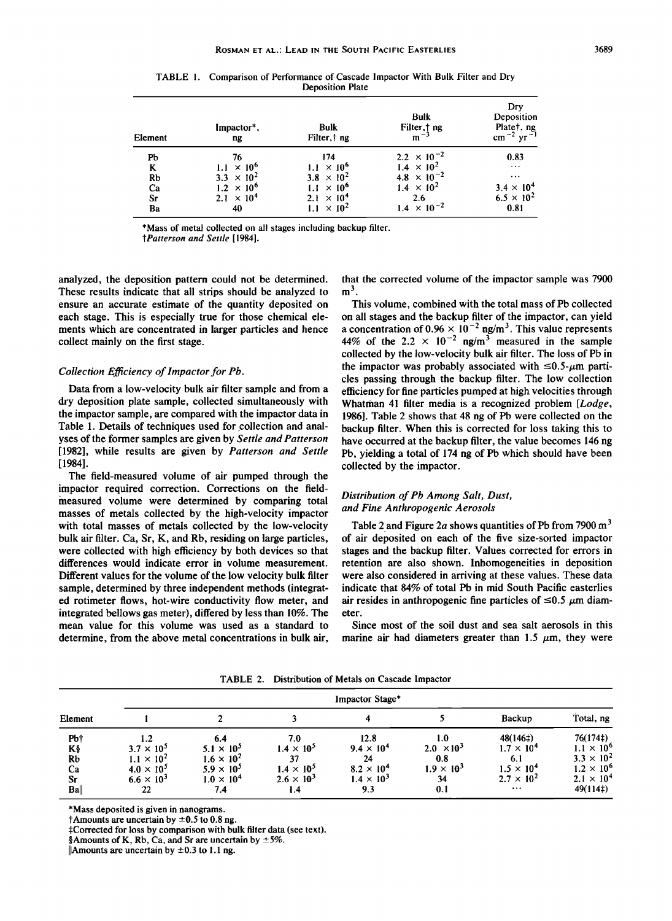| Element      | Impactor*,<br>ng    | <b>Bulk</b><br>Filter, † ng | <b>Bulk</b><br>Filter, ng<br>$m^{-3}$ | Drv<br>Deposition<br>Plate <sub>†</sub> , ng<br>$cm^{-2}$ yr <sup>-1</sup> |
|--------------|---------------------|-----------------------------|---------------------------------------|----------------------------------------------------------------------------|
| Pb           | 76                  | 174                         | $2.2 \times 10^{-2}$                  | 0.83                                                                       |
| K            | $1.1 \times 10^{6}$ | $1.1 \times 10^{6}$         | $1.4 \times 10^{2}$                   | $\cdots$                                                                   |
| Rb           | $3.3 \times 10^{2}$ | $3.8 \times 10^{2}$         | 4.8 $\times$ 10 <sup>-2</sup>         | $\cdots$                                                                   |
| Ca           | $1.2 \times 10^{6}$ | $\times 10^{6}$             | $1.4 \times 10^{2}$                   | $3.4 \times 10^{4}$                                                        |
| $S_{\Gamma}$ | $2.1 \times 10^4$   | $2.1 \times 10^{4}$         | 2.6                                   | $6.5 \times 10^{2}$                                                        |
| Ba           | 40                  | $\times 10^2$               | $1.4 \times 10^{-2}$                  | 0.81                                                                       |

**TABLE 1. Comparison of Performance of Cascade Impactor With Bulk Filter and Dry Deposition Plate** 

**\*Mass of metal collected on all stages including backup filter.** 

**?Patterson and Settle [1984].** 

**analyzed, the deposition pattern could not be determined. These results indicate that all strips should be analyzed to ensure an accurate estimate of the quantity deposited on each stage. This is especially true for those chemical elements which are concentrated in larger particles and hence collect mainly on the first stage.** 

## **Collection Efficiency of lmpactor for Pb.**

**Data from a low-velocity bulk air filter sample and from a dry deposition plate sample, collected simultaneously with the impactor sample, are compared with the impactor data in Table 1. Details of techniques used for collection and analyses of the former samples are given by Settle and Patterson [1982], while results are given by Patterson and Settle [1984].** 

**The field-measured volume of air pumped through the impactor required correction. Corrections on the fieldmeasured volume were determined by comparing total masses of metals collected by the high-velocity impactor with total masses of metals collected by the low-velocity bulk air filter. Ca, St, K, and Rb, residing on large particles, were collected with high efficiency by both devices so that differences would indicate error in volume measurement. Different values for the volume of the low velocity bulk filter sample, determined by three independent methods (integrated rotimeter flows, hot-wire conductivity flow meter, and integrated bellows gas meter), differed by less than 10%. The mean value for this volume was used as a standard to determine, from the above metal concentrations in bulk air,**  **that the corrected volume of the impactor sample was 7900**   $m<sup>3</sup>$ .

**This volume, combined with the total mass of Pb collected on all stages and the backup filter of the impactor, can yield**  a concentration of  $0.96 \times 10^{-2}$  ng/m<sup>3</sup>. This value represents 44% of the 2.2  $\times$  10<sup>-2</sup> ng/m<sup>3</sup> measured in the sample **collected by the low-velocity bulk air filter. The loss of Pb in**  the impactor was probably associated with  $\leq 0.5$ - $\mu$ m parti**cles passing through the backup filter. The low collection efficiency for fine particles pumped at high velocities through**  Whatman 41 filter media is a recognized problem [Lodge, **1986]. Table 2 shows that 48 ng of Pb were collected on the backup filter. When this is corrected for loss taking this to have occurred at the backup filter, the value becomes 146 ng Pb, yielding a total of 174 ng of Pb which should have been collected by the impactor.** 

## **Distribution of Pb Among Salt, Dust, and Fine Anthropogenic Aerosols**

**Table 2 and Figure 2a shows quantities of Pb from 7900 m 3 of air deposited on each of the five size-sorted impactor stages and the backup filter. Values corrected for errors in retention are also shown. Inhomogeneities in deposition were also considered in arriving at these values. These data indicate that 84% of total Pb in mid South Pacific easterlies**  air resides in anthropogenic fine particles of  $\leq 0.5 \mu$ m diam**eter.** 

**Since most of the soil dust and sea salt aerosols in this**  marine air had diameters greater than  $1.5 \mu m$ , they were

**Impactor Stage\* Element I 2 3 4 5 Backup Total. ng Pbt** 1.2 6.4 7.0 12.8 1.0 48(146‡) 76(174‡) **K**§ **3.7**  $\times$  10<sup>3</sup> **5.1**  $\times$  10<sup>3</sup> **1.4**  $\times$  10<sup>3</sup> **9.4**  $\times$  10<sup>4</sup> **2.0**  $\times$  10<sup>3</sup> **1.7**  $\times$  10<sup>4</sup> **1.1**  $\times$  10<sup>5</sup> **Rb**  $1.1 \times 10^2$   $1.6 \times 10^2$   $37$   $24$   $0.8$   $6.1$   $3.3 \times 10^2$ **Ca**  $4.0 \times 10^5$   $5.9 \times 10^5$   $1.4 \times 10^5$   $8.2 \times 10^4$   $1.9 \times 10^5$   $1.5 \times 10^4$   $1.2 \times 10^6$ **Sr**  $6.6 \times 10^3$   $1.0 \times 10^4$   $2.6 \times 10^3$   $1.4 \times 10^3$   $34$   $2.7 \times 10^4$   $2.1 \times 10^4$ **Ba** $\parallel$  22 7.4 1.4 9.3 0.1 ...  $\rightarrow$  49(114‡)

**TABLE 2. Distribution of Metals on Cascade Impactor** 

**\*Mass deposited is given in nanograms.** 

 $\dagger$ Amounts are uncertain by  $\pm 0.5$  to 0.8 ng.

**\$Corrected for loss by comparison with bulk filter data (see text).** 

**§Amounts of K, Rb, Ca, and Sr are uncertain by**  $\pm 5\%$ **.** 

**IAmounts are uncertain by**  $\pm 0.3$  **to 1.1 ng.**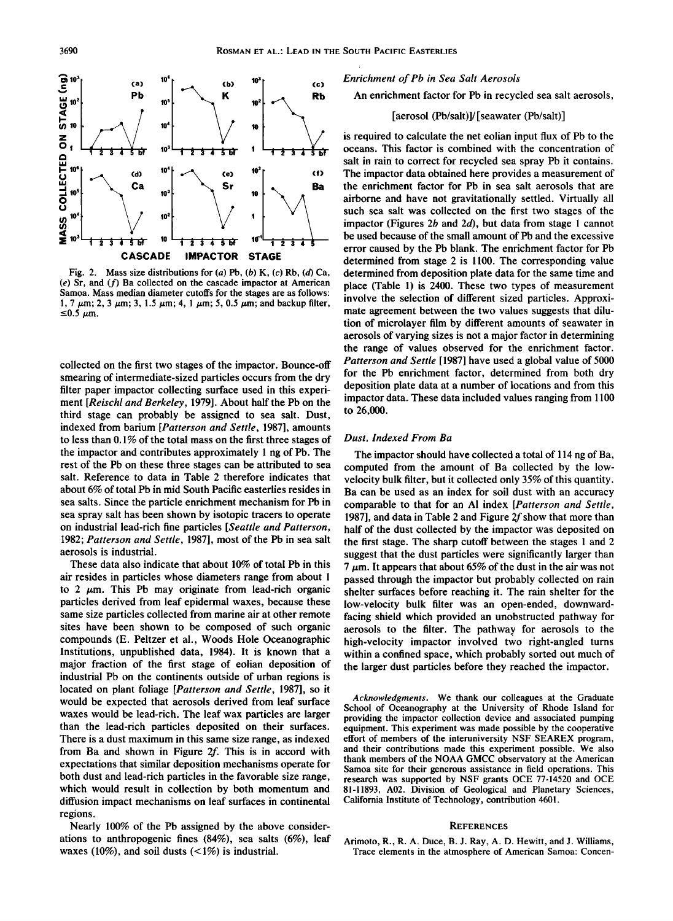

**Fig. 2. Mass size distributions for (a) Pb, (b) K, (c) Rb, (d) Ca, (e) Sr, and (f) Ba collected on the cascade impactor at American Samoa. Mass median diameter cutoffs for the stages are as follows:**  1, 7  $\mu$ m; 2, 3  $\mu$ m; 3, 1.5  $\mu$ m; 4, 1  $\mu$ m; 5, 0.5  $\mu$ m; and backup filter,  $\leq$ 0.5  $\mu$ m.

**collected on the first two stages of the impactor. Bounce-off smearing of intermediate-sized particles occurs from the dry filter paper impactor collecting surface used in this experiment [Reischl and Berkeley, 1979]. About half the Pb on the third stage can probably be assigned to sea salt. Dust, indexed from barium [Patterson and Settle, 1987], amounts to less than 0.1% of the total mass on the first three stages of the impactor and contributes approximately 1 ng of Pb. The rest of the Pb on these three stages can be attributed to sea salt. Reference to data in Table 2 therefore indicates that about 6% of total Pb in mid South Pacific easterlies resides in sea salts. Since the particle enrichment mechanism for Pb in sea spray salt has been shown by isotopic tracers to operate on industrial lead-rich fine particles [Seattle and Patterson, 1982; Patterson and Settle, 1987], most of the Pb in sea salt aerosols is industrial.** 

**These data also indicate that about 10% of total Pb in this air resides in particles whose diameters range from about 1**  to 2  $\mu$ m. This Pb may originate from lead-rich organic **particles derived from leaf epidermal waxes, because these same size particles collected from marine air at other remote sites have been shown to be composed of such organic compounds (E. Peltzer et al., Woods Hole Oceanographic Institutions, unpublished data, 1984). It is known that a major fraction of the first stage of eolian deposition of industrial Pb on the continents outside of urban regions is located on plant foliage [Patterson and Settle, 1987], so it would be expected that aerosols derived from leaf surface waxes would be lead-rich. The leaf wax particles are larger than the lead-rich particles deposited on their surfaces. There is a dust maximum in this same size range, as indexed**  from Ba and shown in Figure 2f. This is in accord with **expectations that similar deposition mechanisms operate for both dust and lead-rich particles in the favorable size range, which would result in collection by both momentum and diffusion impact mechanisms on leaf surfaces in continental regions.** 

**Nearly 100% of the Pb assigned by the above considerations to anthropogenic fines (84%), sea salts (6%), leaf waxes (10%), and soil dusts (<1%) is industrial.** 

**Enrichment of Pb in Sea Salt Aerosols** 

**An enrichment factor for Pb in recycled sea salt aerosols,** 

# **[aerosol (Pb/salt)]/[seawater (Pb/salt)]**

**is required to calculate the net eolian input flux of Pb to the oceans. This factor is combined with the concentration of salt in rain to correct for recycled sea spray Pb it contains. The impactor data obtained here provides a measurement of the enrichment factor for Pb in sea salt aerosols that are airborne and have not gravitationally settled. Virtually all such sea salt was collected on the first two stages of the impactor (Figures 2b and 2d), but data from stage 1 cannot be used because of the small amount of Pb and the excessive error caused by the Pb blank. The enrichment factor for Pb determined from stage 2 is 1100. The corresponding value determined from deposition plate data for the same time and place (Table 1) is 2400. These two types of measurement involve the selection of different sized particles. Approximate agreement between the two values suggests that dilution of microlayer film by different amounts of seawater in aerosols of varying sizes is not a major factor in determining the range of values observed for the enrichment factor. Patterson and Settle [1987] have used a global value of 5000 for the Pb enrichment factor, determined from both dry deposition plate data at a number of locations and from this impactor data. These data included values ranging from 1100 to 26,000.** 

#### **Dust, Indexed From Ba**

**The impactor should have collected a total of 114 ng of Ba, computed from the amount of Ba collected by the lowvelocity bulk filter, but it collected only 35% of this quantity. Ba can be used as an index for soil dust with an accuracy comparable to that for an A1 index [Patterson and Settle, 1987], and data in Table 2 and Figure 2fshow that more than half of the dust collected by the impactor was deposited on the first stage. The sharp cutoff between the stages 1 and 2 suggest that the dust particles were significantly larger than 7/am. It appears that about 65% of the dust in the air was not passed through the impactor but probably collected on rain shelter surfaces before reaching it. The rain shelter for the low-velocity bulk filter was an open-ended, downwardfacing shield which provided an unobstructed pathway for aerosols to the filter. The pathway for aerosols to the high-velocity impactor involved two right-angled turns within a confined space, which probably sorted out much of the larger dust particles before they reached the impactor.** 

**Acknowledgments. We thank our colleagues at the Graduate School of Oceanography at the University of Rhode Island for providing the impactor collection device and associated pumping equipment. This experiment was made possible by the cooperative effort of members of the interuniversity NSF SEAREX program, and their contributions made this experiment possible. We also thank members of the NOAA GMCC observatory at the American Samoa site for their generous assistance in field operations. This research was supported by NSF grants OCE 77-14520 and OCE 81-11893, A02. Division of Geological and Planetary Sciences, California Institute of Technology, contribution 4601.** 

#### **REFERENCES**

**Arimoto, R., R. A. Duce, B. J. Ray, A.D. Hewitt, and J. Williams, Trace elements in the atmosphere of American Samoa: Concen-**